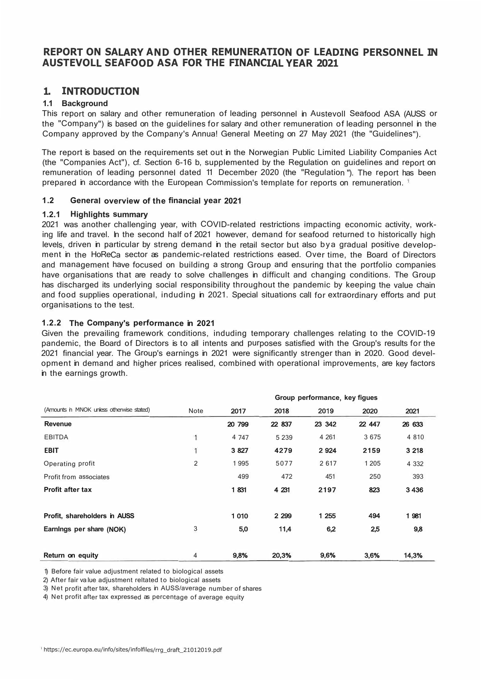## **REPORT ON SALARY AND OTHER REMUNERATION OF LEADING PERSONNEL IN AUSTEVOLL SEAFOOD ASA FOR THE FINANCIAL YEAR 2021**

## **1. INTRODUCTION**

### **1.1 Background**

This report on salary and other remuneration of leading personnel in Austevoll Seafood ASA (AUSS or the "Company") is based on the guidelines for salary and other remuneration of leading personnel in the Company approved by the Company's Annua! General Meeting on 27 May 2021 (the "Guidelines").

The report is based on the requirements set out in the Norwegian Public Limited Liability Companies Act (the "Companies Act"), cf. Section 6-16 b, supplemented by the Regulation on guidelines and report on remuneration of leading personnel dated 11 December 2020 (the "Regulation "). The report has been prepared in accordance with the European Commission's template for reports on remuneration.<sup>1</sup>

### **1 .2 General overview of the financial year 2021**

### **1.2.1 Highlights summary**

2021 was another challenging year, with COVID-related restrictions impacting economic activity, working life and travel. In the second half of 2021 however, demand for seafood returned to historically high levels, driven in particular by streng demand in the retail sector but also bya gradual positive development in the HoReCa sector as pandemic-related restrictions eased. Over time, the Board of Directors and management have focused on building a strong Group and ensuring that the portfolio companies have organisations that are ready to solve challenges in difficult and changing conditions. The Group has discharged its underlying social responsibility throughout the pandemic by keeping the value chain and food supplies operational, induding in 2021. Special situations call for extraordinary efforts and put organisations to the test.

### **1.2.2 The Company's performance in 2021**

Given the prevailing framework conditions, induding temporary challenges relating to the COVID-19 pandemic, the Board of Directors is to all intents and purposes satisfied with the Group's results for the 2021 financial year. The Group's earnings in 2021 were significantly strenger than in 2020. Good development in demand and higher prices realised, combined with operational improvements, are key factors in the earnings growth.

|                                           |                | Group performance, key figues |         |        |         |         |  |
|-------------------------------------------|----------------|-------------------------------|---------|--------|---------|---------|--|
| (Amounts in MNOK unless otherwise stated) | Note           | 2017                          | 2018    | 2019   | 2020    | 2021    |  |
| <b>Revenue</b>                            |                | 20 799                        | 22 837  | 23 342 | 22 447  | 26 633  |  |
| <b>EBITDA</b>                             | 1              | 4 7 4 7                       | 5 2 3 9 | 4 2 61 | 3675    | 4 8 1 0 |  |
| <b>EBIT</b>                               | $\overline{1}$ | 3 8 27                        | 4279    | 2 9 24 | 2159    | 3 2 1 8 |  |
| Operating profit                          | 2              | 1995                          | 5077    | 2617   | 1 2 0 5 | 4 3 3 2 |  |
| Profit from associates                    |                | 499                           | 472     | 451    | 250     | 393     |  |
| <b>Profit after tax</b>                   |                | 1831                          | 4 231   | 2197   | 823     | 3436    |  |
|                                           |                |                               |         |        |         |         |  |
| Profit, shareholders in AUSS              |                | 1010                          | 2 2 9 9 | 1 255  | 494     | 1 981   |  |
| Earnings per share (NOK)                  | 3              | 5,0                           | 11,4    | 6,2    | 2,5     | 9,8     |  |
|                                           |                |                               |         |        |         |         |  |
| Return on equity                          | $\overline{4}$ | 9,8%                          | 20,3%   | 9,6%   | 3,6%    | 14.3%   |  |

1) Before fair value adjustment related to biological assets

2) After fair va lue adjustment reltated to biological assets

3) Net profit after tax, shareholders in AUSS/average number of shares

4) Net profit after tax expressed as percentage of average equity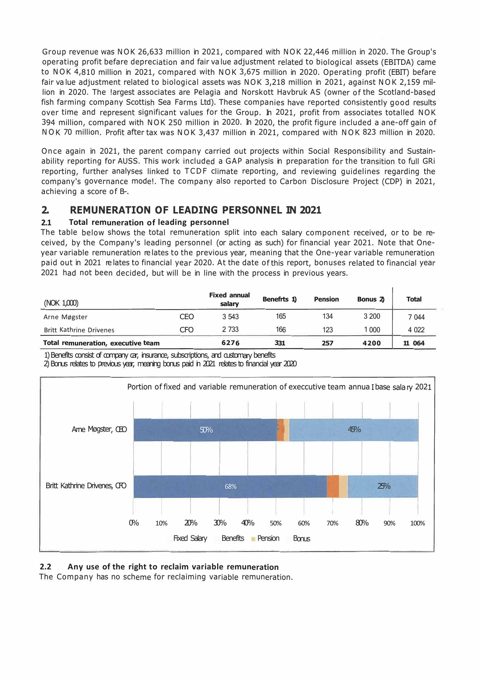Group revenue was NOK 26,633 million in 2021, compared with NOK 22,446 million in 2020. The Group's operating profit befare depreciation and fair va lue adjustment related to biological assets (EBITDA) came to NOK 4,810 million in 2021, compared with NOK 3,675 million in 2020. Operating profit (EBIT) befare fair va lue adjustment related to biological assets was NOK 3,218 million in 2021, against NOK 2,159 million in 2020. The !argest associates are Pelagia and Norskott Havbruk AS (owner of the Scotland-based fish farming company Scottish Sea Farms Ltd). These companies have reported consistently good results over time and represent significant values for the Group. In 2021, profit from associates totalled NOK 394 million, compared with NOK 250 million in 2020. In 2020, the profit figure included a ane-off gain of NOK 70 million. Profit after tax was NOK 3,437 million in 2021, compared with NOK 823 million in 2020.

Once again in 2021, the parent company carried out projects within Social Responsibility and Sustainability reporting for AUSS. This work included a GAP analysis in preparation for the transition to full GRi reporting, further analyses linked to TCDF climate reporting, and reviewing guidelines regarding the company's governance mode!. The company also reported to Carbon Disclosure Project (CDP) in 2021, achieving a score of B-.

# **2. REMUNERATION OF LEADING PERSONNEL IN 2021**

## **2.1 Total remuneration of leading personnel**

The table below shows the total remuneration split into each salary component received, or to be received, by the Company's leading personnel (or acting as such) for financial year 2021. Note that Oneyear variable remuneration re lates to the previous year, meaning that the One-year variable remuneration paid out in 2021 re lates to financial year 2020. At the date of this report, bonuses related to financial year 2021 had not been decided, but will be in line with the process in previous years.

| (NOK 1,000)                        |     | <b>Fixed annual</b><br>salary | Benefrts 1) | <b>Pension</b> | Bonus 2 | <b>Total</b> |
|------------------------------------|-----|-------------------------------|-------------|----------------|---------|--------------|
| Arne Møgster                       | CEO | 3 5 4 3                       | 165         | 134            | 3 200   | 7044         |
| Britt Kathrine Drivenes            | CFO | 2 7 3 3                       | 166         | 123            | 1000    | 4 0 2 2      |
| Total remuneration, executive team |     | 6276                          | 331         | 257            | 4200    | 11 064       |

1) Benefits consist of company car, insurance, subscriptions, and customary benefits

2) Bonus relates to previous year, meaning bonus paid in 2021 relates to financial year 2020



### **2.2 Any use of the right to reclaim variable remuneration**

The Company has no scheme for reclaiming variable remuneration.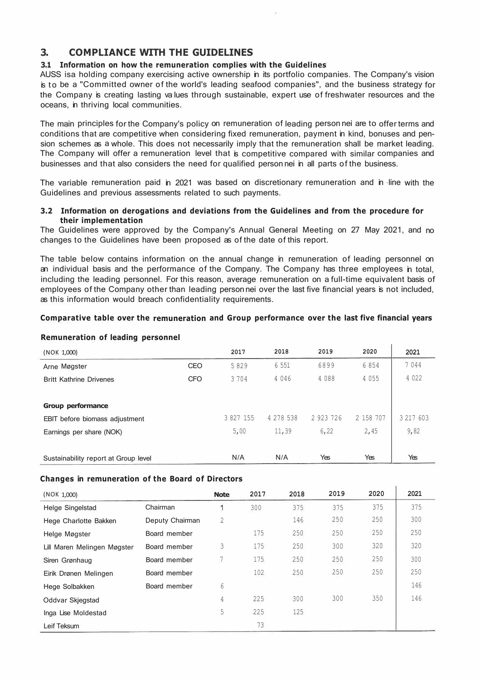# **3. COMPLIANCE WITH THE GUIDELINES**

### **3.1 Information on how the remuneration complies with the Guidelines**

AUSS isa holding company exercising active ownership in its portfolio companies. The Company's vision is to be a "Committed owner of the world's leading seafood companies", and the business strategy for the Company is creating lasting va lues through sustainable, expert use of freshwater resources and the oceans, in thriving local communities.

The main principles for the Company's policy on remuneration of leading person nei are to offer terms and conditions that are competitive when considering fixed remuneration, payment in kind, bonuses and pension schemes as a whole. This does not necessarily imply that the remuneration shall be market leading. The Company will offer a remuneration level that is competitive compared with similar companies and businesses and that also considers the need for qualified person nei in all parts of the business.

The variable remuneration paid in 2021 was based on discretionary remuneration and in line with the Guidelines and previous assessments related to such payments.

#### **3.2 Information on derogations and deviations from the Guidelines and from the procedure for their implementation**

The Guidelines were approved by the Company's Annual General Meeting on 27 May 2021, and no changes to the Guidelines have been proposed as of the date of this report.

The table below contains information on the annual change in remuneration of leading personnel on an individual basis and the performance of the Company. The Company has three employees in total, including the leading personnel. For this reason, average remuneration on a full-time equivalent basis of employees of the Company other than leading person nei over the last five financial years is not included, as this information would breach confidentiality requirements.

### **Comparative table over the remuneration and Group performance over the last five financial years**

| (NOK 1,000)                          |            | 2017      | 2018      | 2019      | 2020      | 2021      |
|--------------------------------------|------------|-----------|-----------|-----------|-----------|-----------|
| Arne Møgster                         | CEO        | 5829      | 6 5 5 1   | 6899      | 6854      | 7044      |
| <b>Britt Kathrine Drivenes</b>       | <b>CFO</b> | 3704      | 4 0 4 6   | 4 0 8 8   | 4 0 5 5   | 4 0 2 2   |
|                                      |            |           |           |           |           |           |
| Group performance                    |            |           |           |           |           |           |
| EBIT before biomass adjustment       |            | 3 827 155 | 4 278 538 | 2 923 726 | 2 158 707 | 3 217 603 |
| Earnings per share (NOK)             |            | 5,00      | 11,39     | 6, 22     | 2,45      | 9,82      |
|                                      |            |           |           |           |           |           |
| Sustainability report at Group level |            | N/A       | N/A       | Yes       | Yes       | Yes       |

#### **Remuneration of leading personnel**

#### **Changes in remuneration of the Board of Directors**

| (NOK 1,000)                 |                 | <b>Note</b>    | 2017 | 2018 | 2019 | 2020 | 2021 |
|-----------------------------|-----------------|----------------|------|------|------|------|------|
| Helge Singelstad            | Chairman        |                | 300  | 375  | 375  | 375  | 375  |
| Hege Charlotte Bakken       | Deputy Chairman | $\overline{2}$ |      | 146  | 250  | 250  | 300  |
| Helge Møgster               | Board member    |                | 175  | 250  | 250  | 250  | 250  |
| Lill Maren Melingen Møgster | Board member    | 3              | 175  | 250  | 300  | 320  | 320  |
| Siren Grønhaug              | Board member    | 7              | 175  | 250  | 250  | 250  | 300  |
| Eirik Drønen Melingen       | Board member    |                | 102  | 250  | 250  | 250  | 250  |
| Hege Solbakken              | Board member    | 6              |      |      |      |      | 146  |
| Oddvar Skjegstad            |                 | 4              | 225  | 300  | 300  | 350  | 146  |
| Inga Lise Moldestad         |                 | 5              | 225  | 125  |      |      |      |
| Leif Teksum                 |                 |                | 73   |      |      |      |      |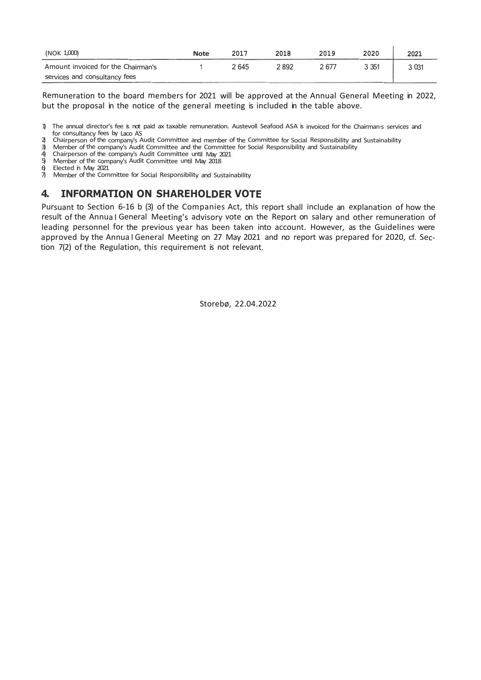| (NOK 1,000)                        | <b>Note</b> | 2017 | 2018 | 2019  | 2020    | 2021   |
|------------------------------------|-------------|------|------|-------|---------|--------|
| Amount invoiced for the Chairman's |             | 2645 | 2892 | 2 677 | 3 3 5 1 | 3 0 31 |
| services and consultancy fees      |             |      |      |       |         |        |

Remuneration to the board members for 2021 will be approved at the Annual General Meeting in 2022, but the proposal in the notice of the general meeting is included in the table above.

1) The annual director's fee is not paid ax taxable remuneration. Austevoll Seafood ASA is invoiced for the Chairman·s services and for consultancy fees by Laco AS

2) Chairperson of the company's Audit Committee and member of the Committee for Social Responsibility and Sustainability<br>3) Member of the company's Audit Committee and the Committee for Social Responsibility and Sustainabi

3) Member of the company's Audit Committee and the Committee for Social Responsibility and Sustainability<br>4) Chairperson of the company's Audit Committee until May 2021

4) Chairperson of the company's Audit Committee until May 2021<br>5) Member of the company's Audit Committee until May 2018

5) Member of the company's Audit Committee until May 2018

Elected in May 2021

 $\vec{7}$  Member of the Committee for Social Responsibility and Sustainability

## **4. INFORMATION ON SHAREHOLDER VOTE**

Pursuant to Section 6-16 b (3) of the Companies Act, this report shall include an explanation of how the result of the Annua I General Meeting's advisory vote on the Report on salary and other remuneration of leading personnel for the previous year has been taken into account. However, as the Guidelines were approved by the Annua I General Meeting on 27 May 2021 and no report was prepared for 2020, cf. Section 7(2) of the Regulation, this requirement is not relevant.

Storebø, 22.04.2022